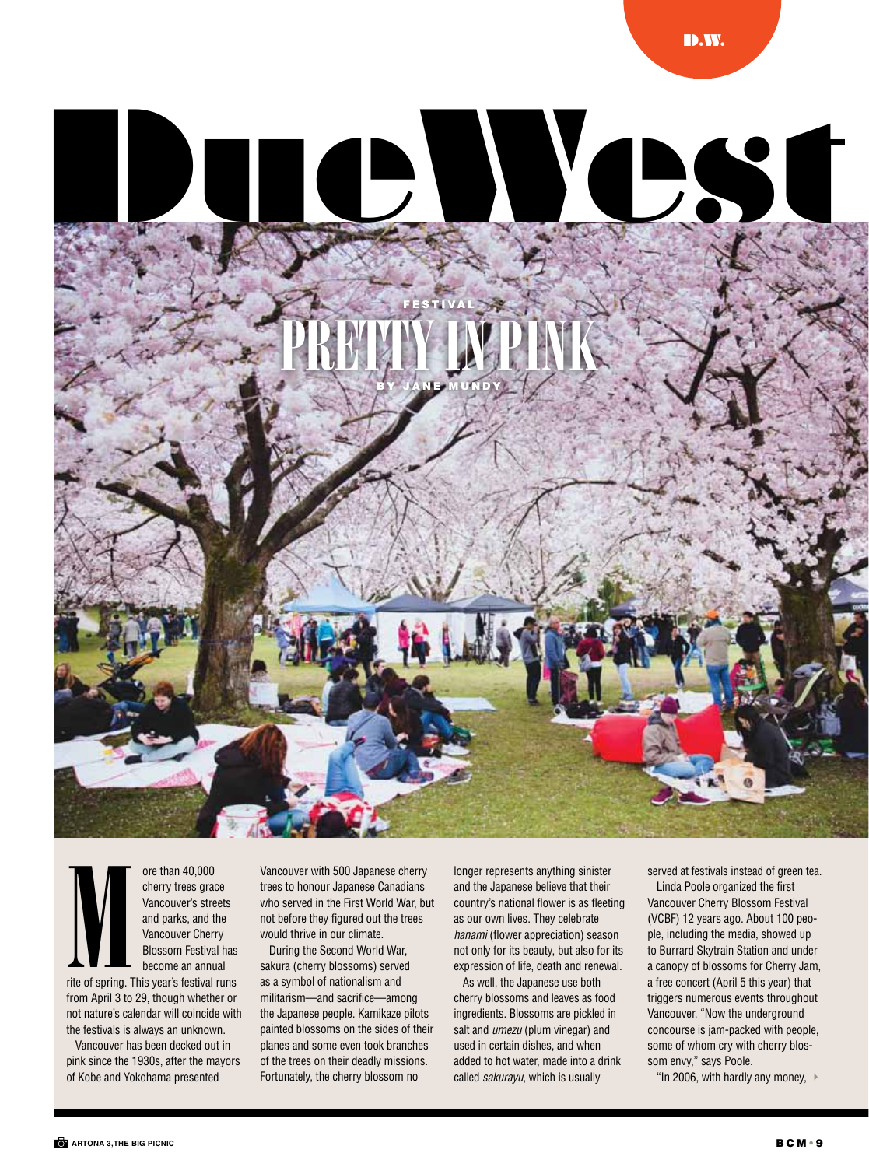

ore than 40,000 cherry trees grace Vancouver's streets and parks, and the Vancouver Cherry Blossom Festival has become an annual  $\sum_{\scriptscriptstyle \text{rite of spring } ,1}$ 

rite of spring. This year's festival runs from April 3 to 29, though whether or not nature's calendar will coincide with the festivals is always an unknown.

Vancouver has been decked out in pink since the 1930s, after the mayors of Kobe and Yokohama presented

Vancouver with 500 Japanese cherry trees to honour Japanese Canadians who served in the First World War, but not before they figured out the trees would thrive in our climate.

During the Second World War, sakura (cherry blossoms) served as a symbol of nationalism and militarism—and sacrifice—among the Japanese people. Kamikaze pilots painted blossoms on the sides of their planes and some even took branches of the trees on their deadly missions. Fortunately, the cherry blossom no

longer represents anything sinister and the Japanese believe that their country's national flower is as fleeting as our own lives. They celebrate *hanami* (flower appreciation) season not only for its beauty, but also for its expression of life, death and renewal.

As well, the Japanese use both cherry blossoms and leaves as food ingredients. Blossoms are pickled in salt and *umezu* (plum vinegar) and used in certain dishes, and when added to hot water, made into a drink called *sakurayu*, which is usually

served at festivals instead of green tea. Linda Poole organized the first Vancouver Cherry Blossom Festival (VCBF) 12 years ago. About 100 people, including the media, showed up to Burrard Skytrain Station and under a canopy of blossoms for Cherry Jam, a free concert (April 5 this year) that triggers numerous events throughout Vancouver. "Now the underground concourse is jam-packed with people, some of whom cry with cherry blossom envy," says Poole.

"In 2006, with hardly any money,  $\rightarrow$